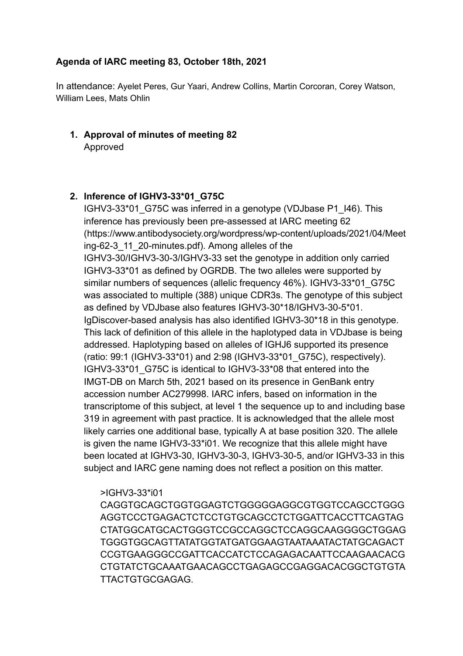# **Agenda of IARC meeting 83, October 18th, 2021**

In attendance: Ayelet Peres, Gur Yaari, Andrew Collins, Martin Corcoran, Corey Watson, William Lees, Mats Ohlin

**1. Approval of minutes of meeting 82** Approved

# **2. Inference of IGHV3-33\*01\_G75C**

IGHV3-33\*01\_G75C was inferred in a genotype (VDJbase P1\_I46). This inference has previously been pre-assessed at IARC meeting 62 (https://www.antibodysociety.org/wordpress/wp-content/uploads/2021/04/Meet ing-62-3\_11\_20-minutes.pdf). Among alleles of the IGHV3-30/IGHV3-30-3/IGHV3-33 set the genotype in addition only carried IGHV3-33\*01 as defined by OGRDB. The two alleles were supported by similar numbers of sequences (allelic frequency 46%). IGHV3-33\*01\_G75C was associated to multiple (388) unique CDR3s. The genotype of this subject as defined by VDJbase also features IGHV3-30\*18/IGHV3-30-5\*01. IgDiscover-based analysis has also identified IGHV3-30\*18 in this genotype. This lack of definition of this allele in the haplotyped data in VDJbase is being addressed. Haplotyping based on alleles of IGHJ6 supported its presence (ratio: 99:1 (IGHV3-33\*01) and 2:98 (IGHV3-33\*01\_G75C), respectively). IGHV3-33\*01\_G75C is identical to IGHV3-33\*08 that entered into the IMGT-DB on March 5th, 2021 based on its presence in GenBank entry accession number AC279998. IARC infers, based on information in the transcriptome of this subject, at level 1 the sequence up to and including base 319 in agreement with past practice. It is acknowledged that the allele most likely carries one additional base, typically A at base position 320. The allele is given the name IGHV3-33\*i01. We recognize that this allele might have been located at IGHV3-30, IGHV3-30-3, IGHV3-30-5, and/or IGHV3-33 in this subject and IARC gene naming does not reflect a position on this matter.

## >IGHV3-33\*i01

CAGGTGCAGCTGGTGGAGTCTGGGGGAGGCGTGGTCCAGCCTGGG AGGTCCCTGAGACTCTCCTGTGCAGCCTCTGGATTCACCTTCAGTAG CTATGGCATGCACTGGGTCCGCCAGGCTCCAGGCAAGGGGCTGGAG TGGGTGGCAGTTATATGGTATGATGGAAGTAATAAATACTATGCAGACT CCGTGAAGGGCCGATTCACCATCTCCAGAGACAATTCCAAGAACACG CTGTATCTGCAAATGAACAGCCTGAGAGCCGAGGACACGGCTGTGTA TTACTGTGCGAGAG.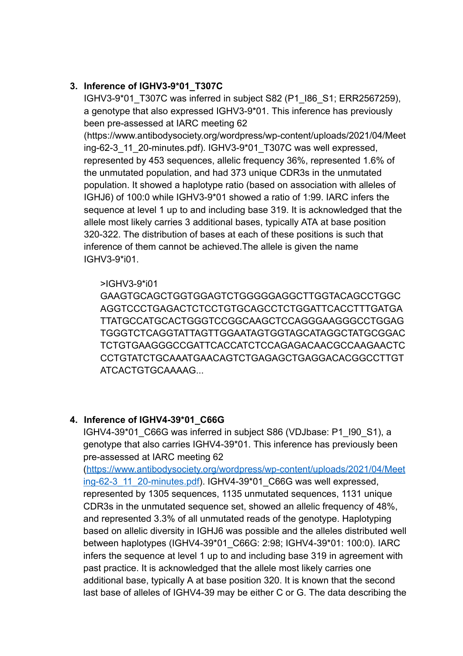# **3. Inference of IGHV3-9\*01\_T307C**

IGHV3-9\*01\_T307C was inferred in subject S82 (P1\_I86\_S1; ERR2567259), a genotype that also expressed IGHV3-9\*01. This inference has previously been pre-assessed at IARC meeting 62

(https://www.antibodysociety.org/wordpress/wp-content/uploads/2021/04/Meet ing-62-3\_11\_20-minutes.pdf). IGHV3-9\*01\_T307C was well expressed, represented by 453 sequences, allelic frequency 36%, represented 1.6% of the unmutated population, and had 373 unique CDR3s in the unmutated population. It showed a haplotype ratio (based on association with alleles of IGHJ6) of 100:0 while IGHV3-9\*01 showed a ratio of 1:99. IARC infers the sequence at level 1 up to and including base 319. It is acknowledged that the allele most likely carries 3 additional bases, typically ATA at base position 320-322. The distribution of bases at each of these positions is such that inference of them cannot be achieved.The allele is given the name IGHV3-9\*i01.

### >IGHV3-9\*i01

GAAGTGCAGCTGGTGGAGTCTGGGGGAGGCTTGGTACAGCCTGGC AGGTCCCTGAGACTCTCCTGTGCAGCCTCTGGATTCACCTTTGATGA TTATGCCATGCACTGGGTCCGGCAAGCTCCAGGGAAGGGCCTGGAG TGGGTCTCAGGTATTAGTTGGAATAGTGGTAGCATAGGCTATGCGGAC TCTGTGAAGGGCCGATTCACCATCTCCAGAGACAACGCCAAGAACTC CCTGTATCTGCAAATGAACAGTCTGAGAGCTGAGGACACGGCCTTGT ATCACTGTGCAAAAG...

## **4. Inference of IGHV4-39\*01\_C66G**

IGHV4-39\*01\_C66G was inferred in subject S86 (VDJbase: P1\_I90\_S1), a genotype that also carries IGHV4-39\*01. This inference has previously been pre-assessed at IARC meeting 62

(https://www.antibodysociety.org/wordpress/wp-content/uploads/2021/04/Meet ing-62-3\_11\_20-minutes.pdf). IGHV4-39\*01\_C66G was well expressed, represented by 1305 sequences, 1135 unmutated sequences, 1131 unique CDR3s in the unmutated sequence set, showed an allelic frequency of 48%, and represented 3.3% of all unmutated reads of the genotype. Haplotyping based on allelic diversity in IGHJ6 was possible and the alleles distributed well between haplotypes (IGHV4-39\*01\_C66G: 2:98; IGHV4-39\*01: 100:0). IARC infers the sequence at level 1 up to and including base 319 in agreement with past practice. It is acknowledged that the allele most likely carries one additional base, typically A at base position 320. It is known that the second last base of alleles of IGHV4-39 may be either C or G. The data describing the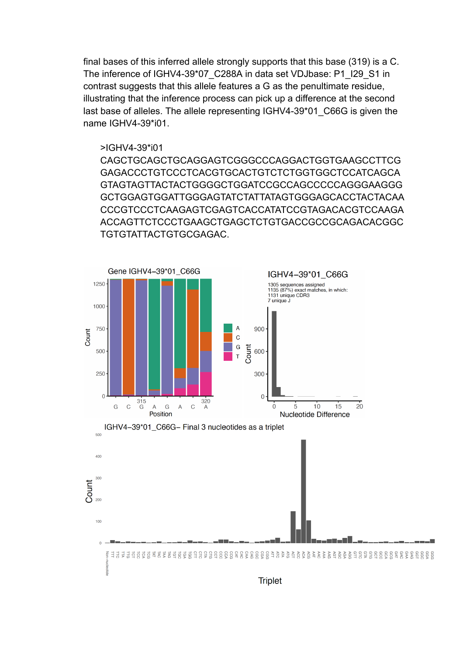final bases of this inferred allele strongly supports that this base (319) is a C. The inference of IGHV4-39\*07\_C288A in data set VDJbase: P1\_I29\_S1 in contrast suggests that this allele features a G as the penultimate residue, illustrating that the inference process can pick up a difference at the second last base of alleles. The allele representing IGHV4-39\*01 C66G is given the name IGHV4-39\*i01.

#### >IGHV4-39\*i01

CAGCTGCAGCTGCAGGAGTCGGGCCCAGGACTGGTGAAGCCTTCG GAGACCCTGTCCCTCACGTGCACTGTCTCTGGTGGCTCCATCAGCA GTAGTAGTTACTACTGGGGCTGGATCCGCCAGCCCCCAGGGAAGGG GCTGGAGTGGATTGGGAGTATCTATTATAGTGGGAGCACCTACTACAA CCCGTCCCTCAAGAGTCGAGTCACCATATCCGTAGACACGTCCAAGA ACCAGTTCTCCCTGAAGCTGAGCTCTGTGACCGCCGCAGACACGGC TGTGTATTACTGTGCGAGAC.



**Triplet**